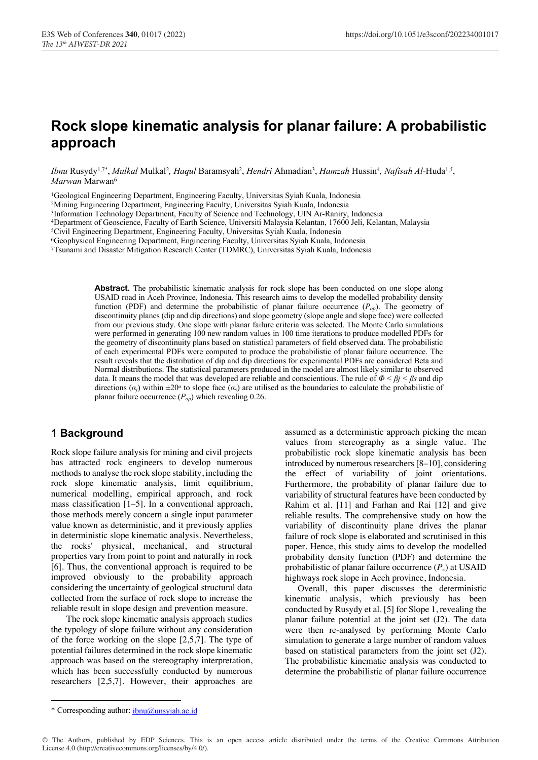# **Rock slope kinematic analysis for planar failure: A probabilistic approach**

*Ibnu* Rusydy<sup>1,7\*</sup>, *Mulkal* Mulkal<sup>2</sup>, *Haqul* Baramsyah<sup>2</sup>, *Hendri* Ahmadian<sup>3</sup>, *Hamzah* Hussin<sup>4</sup>, *Nafisah Al-*Huda<sup>1,5</sup>, *Marwan* Marwan6

1Geological Engineering Department, Engineering Faculty, Universitas Syiah Kuala, Indonesia

2Mining Engineering Department, Engineering Faculty, Universitas Syiah Kuala, Indonesia

3Information Technology Department, Faculty of Science and Technology, UIN Ar-Raniry, Indonesia

4Department of Geoscience, Faculty of Earth Science, Universiti Malaysia Kelantan, 17600 Jeli, Kelantan, Malaysia

5Civil Engineering Department, Engineering Faculty, Universitas Syiah Kuala, Indonesia

6Geophysical Engineering Department, Engineering Faculty, Universitas Syiah Kuala, Indonesia

7Tsunami and Disaster Mitigation Research Center (TDMRC), Universitas Syiah Kuala, Indonesia

**Abstract.** The probabilistic kinematic analysis for rock slope has been conducted on one slope along USAID road in Aceh Province, Indonesia. This research aims to develop the modelled probability density function (PDF) and determine the probabilistic of planar failure occurrence  $(P_{op})$ . The geometry of discontinuity planes (dip and dip directions) and slope geometry (slope angle and slope face) were collected from our previous study. One slope with planar failure criteria was selected. The Monte Carlo simulations were performed in generating 100 new random values in 100 time iterations to produce modelled PDFs for the geometry of discontinuity plans based on statistical parameters of field observed data. The probabilistic of each experimental PDFs were computed to produce the probabilistic of planar failure occurrence. The result reveals that the distribution of dip and dip directions for experimental PDFs are considered Beta and Normal distributions. The statistical parameters produced in the model are almost likely similar to observed data. It means the model that was developed are reliable and conscientious. The rule of *Φ < βj < βs* and dip directions ( $\alpha_j$ ) within  $\pm 20^\circ$  to slope face ( $\alpha_s$ ) are utilised as the boundaries to calculate the probabilistic of planar failure occurrence  $(P_{op})$  which revealing 0.26.

### **1 Background**

Rock slope failure analysis for mining and civil projects has attracted rock engineers to develop numerous methods to analyse the rock slope stability, including the rock slope kinematic analysis, limit equilibrium, numerical modelling, empirical approach, and rock mass classification [1–5]. In a conventional approach, those methods merely concern a single input parameter value known as deterministic, and it previously applies in deterministic slope kinematic analysis. Nevertheless, the rocks' physical, mechanical, and structural properties vary from point to point and naturally in rock [6]. Thus, the conventional approach is required to be improved obviously to the probability approach considering the uncertainty of geological structural data collected from the surface of rock slope to increase the reliable result in slope design and prevention measure.

The rock slope kinematic analysis approach studies the typology of slope failure without any consideration of the force working on the slope [2,5,7]. The type of potential failures determined in the rock slope kinematic approach was based on the stereography interpretation, which has been successfully conducted by numerous researchers [2,5,7]. However, their approaches are

assumed as a deterministic approach picking the mean values from stereography as a single value. The probabilistic rock slope kinematic analysis has been introduced by numerous researchers [8–10], considering the effect of variability of joint orientations. Furthermore, the probability of planar failure due to variability of structural features have been conducted by Rahim et al. [11] and Farhan and Rai [12] and give reliable results. The comprehensive study on how the variability of discontinuity plane drives the planar failure of rock slope is elaborated and scrutinised in this paper. Hence, this study aims to develop the modelled probability density function (PDF) and determine the probabilistic of planar failure occurrence  $(P_{\varphi})$  at USAID highways rock slope in Aceh province, Indonesia.

Overall, this paper discusses the deterministic kinematic analysis, which previously has been conducted by Rusydy et al. [5] for Slope 1, revealing the planar failure potential at the joint set (J2). The data were then re-analysed by performing Monte Carlo simulation to generate a large number of random values based on statistical parameters from the joint set (J2). The probabilistic kinematic analysis was conducted to determine the probabilistic of planar failure occurrence

I \* Corresponding author: ibnu@unsyiah.ac.id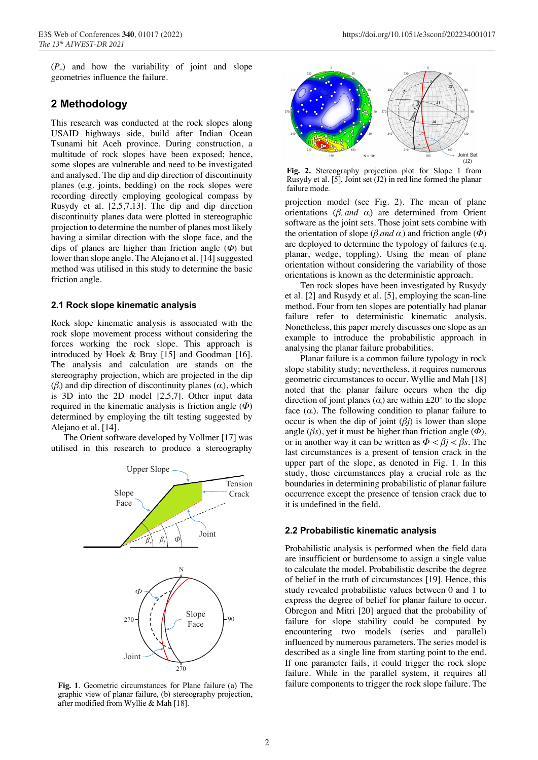$(P_{\varphi})$  and how the variability of joint and slope geometries influence the failure.

# **2 Methodology**

This research was conducted at the rock slopes along USAID highways side, build after Indian Ocean Tsunami hit Aceh province. During construction, a multitude of rock slopes have been exposed; hence, some slopes are vulnerable and need to be investigated and analysed. The dip and dip direction of discontinuity planes (e.g. joints, bedding) on the rock slopes were recording directly employing geological compass by Rusydy et al. [2,5,7,13]. The dip and dip direction discontinuity planes data were plotted in stereographic projection to determine the number of planes most likely having a similar direction with the slope face, and the dips of planes are higher than friction angle (*Ф*) but lower than slope angle. The Alejano et al. [14] suggested method was utilised in this study to determine the basic friction angle.

#### **2.1 Rock slope kinematic analysis**

Rock slope kinematic analysis is associated with the rock slope movement process without considering the forces working the rock slope. This approach is introduced by Hoek & Bray [15] and Goodman [16]. The analysis and calculation are stands on the stereography projection, which are projected in the dip (*βj*) and dip direction of discontinuity planes (*αj*), which is 3D into the 2D model [2,5,7]. Other input data required in the kinematic analysis is friction angle (*Φ*) determined by employing the tilt testing suggested by Alejano et al. [14].

The Orient software developed by Vollmer [17] was utilised in this research to produce a stereography



**Fig. 1**. Geometric circumstances for Plane failure (a) The graphic view of planar failure, (b) stereography projection, after modified from Wyllie & Mah [18].



**Fig. 2.** Stereography projection plot for Slope 1 from Rusydy et al. [5], Joint set (J2) in red line formed the planar failure mode.

projection model (see Fig. 2). The mean of plane orientations  $(\beta_i \text{ and } \alpha_j)$  are determined from Orient software as the joint sets. Those joint sets combine with the orientation of slope ( $\beta$ *, and*  $\alpha$ *)* and friction angle ( $\Phi$ ) are deployed to determine the typology of failures (e.q. planar, wedge, toppling). Using the mean of plane orientation without considering the variability of those orientations is known as the deterministic approach.

Ten rock slopes have been investigated by Rusydy et al. [2] and Rusydy et al. [5], employing the scan-line method. Four from ten slopes are potentially had planar failure refer to deterministic kinematic analysis. Nonetheless, this paper merely discusses one slope as an example to introduce the probabilistic approach in analysing the planar failure probabilities.

Planar failure is a common failure typology in rock slope stability study; nevertheless, it requires numerous geometric circumstances to occur. Wyllie and Mah [18] noted that the planar failure occurs when the dip direction of joint planes  $(\alpha)$  are within  $\pm 20^{\circ}$  to the slope face  $(\alpha)$ . The following condition to planar failure to occur is when the dip of joint  $(\beta j)$  is lower than slope angle ( $\beta$ *s*), yet it must be higher than friction angle ( $\Phi$ ), or in another way it can be written as  $\Phi < \beta j < \beta s$ . The last circumstances is a present of tension crack in the upper part of the slope, as denoted in Fig. 1. In this study, those circumstances play a crucial role as the boundaries in determining probabilistic of planar failure occurrence except the presence of tension crack due to it is undefined in the field.

#### **2.2 Probabilistic kinematic analysis**

Probabilistic analysis is performed when the field data are insufficient or burdensome to assign a single value to calculate the model. Probabilistic describe the degree of belief in the truth of circumstances [19]. Hence, this study revealed probabilistic values between 0 and 1 to express the degree of belief for planar failure to occur. Obregon and Mitri [20] argued that the probability of failure for slope stability could be computed by encountering two models (series and parallel) influenced by numerous parameters. The series model is described as a single line from starting point to the end. If one parameter fails, it could trigger the rock slope failure. While in the parallel system, it requires all failure components to trigger the rock slope failure. The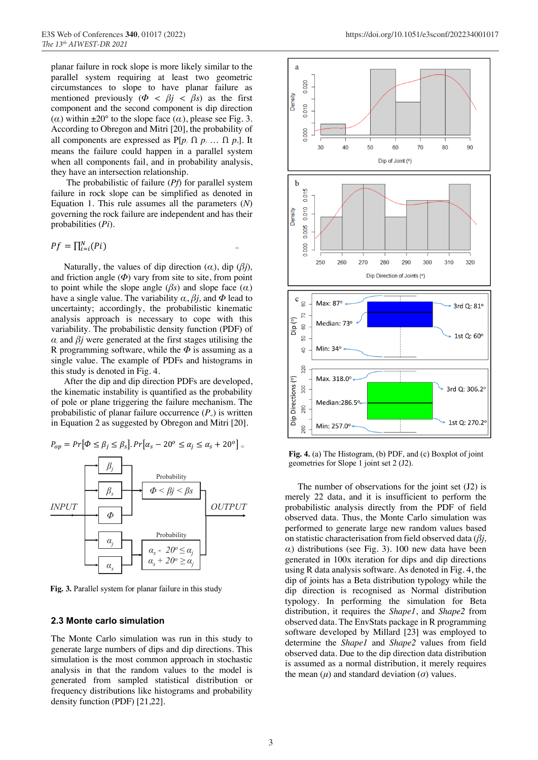planar failure in rock slope is more likely similar to the parallel system requiring at least two geometric circumstances to slope to have planar failure as mentioned previously ( $\Phi < \beta j < \beta s$ ) as the first component and the second component is dip direction ( $\alpha$ <sup>*j*</sup>) within  $\pm 20^{\circ}$  to the slope face ( $\alpha$ <sup>*j*</sup>), please see Fig. 3. According to Obregon and Mitri [20], the probability of all components are expressed as  $P[p_1 \cap p_2 \dots \cap p_N]$ . It means the failure could happen in a parallel system when all components fail, and in probability analysis, they have an intersection relationship.

The probabilistic of failure (*Pf*) for parallel system failure in rock slope can be simplified as denoted in Equation 1. This rule assumes all the parameters (*N*) governing the rock failure are independent and has their probabilities (*Pi*).

$$
Pf = \prod_{i=i}^{N} (Pi)
$$

Naturally, the values of dip direction  $(\alpha_i)$ , dip  $(\beta_i)$ , and friction angle  $(\Phi)$  vary from site to site, from point to point while the slope angle  $(\beta s)$  and slope face  $(\alpha)$ have a single value. The variability  $\alpha_i$ ,  $\beta_j$ , and  $\Phi$  lead to uncertainty; accordingly, the probabilistic kinematic analysis approach is necessary to cope with this variability. The probabilistic density function (PDF) of  $\alpha_i$  and  $\beta_j$  were generated at the first stages utilising the R programming software, while the *Φ* is assuming as a single value. The example of PDFs and histograms in this study is denoted in Fig. 4.

After the dip and dip direction PDFs are developed, the kinematic instability is quantified as the probability of pole or plane triggering the failure mechanism. The probabilistic of planar failure occurrence  $(P_n)$  is written in Equation 2 as suggested by Obregon and Mitri [20].

$$
P_{op} = Pr[\Phi \le \beta_j \le \beta_s]. Pr[\alpha_s - 20^{\circ} \le \alpha_j \le \alpha_s + 20^{\circ}]
$$



**Fig. 3.** Parallel system for planar failure in this study

#### **2.3 Monte carlo simulation**

The Monte Carlo simulation was run in this study to generate large numbers of dips and dip directions. This simulation is the most common approach in stochastic analysis in that the random values to the model is generated from sampled statistical distribution or frequency distributions like histograms and probability density function (PDF) [21,22].



**Fig. 4.** (a) The Histogram, (b) PDF, and (c) Boxplot of joint geometries for Slope 1 joint set 2 (J2).

The number of observations for the joint set (J2) is merely 22 data, and it is insufficient to perform the probabilistic analysis directly from the PDF of field observed data. Thus, the Monte Carlo simulation was performed to generate large new random values based on statistic characterisation from field observed data (*βj,*  $α$ <sup>*j*</sup> distributions (see Fig. 3). 100 new data have been generated in 100x iteration for dips and dip directions using R data analysis software. As denoted in Fig. 4, the dip of joints has a Beta distribution typology while the dip direction is recognised as Normal distribution typology. In performing the simulation for Beta distribution, it requires the *Shape1*, and *Shape2* from observed data. The EnvStats package in R programming software developed by Millard [23] was employed to determine the *Shape1* and *Shape2* values from field observed data. Due to the dip direction data distribution is assumed as a normal distribution, it merely requires the mean  $(\mu)$  and standard deviation  $(\sigma)$  values.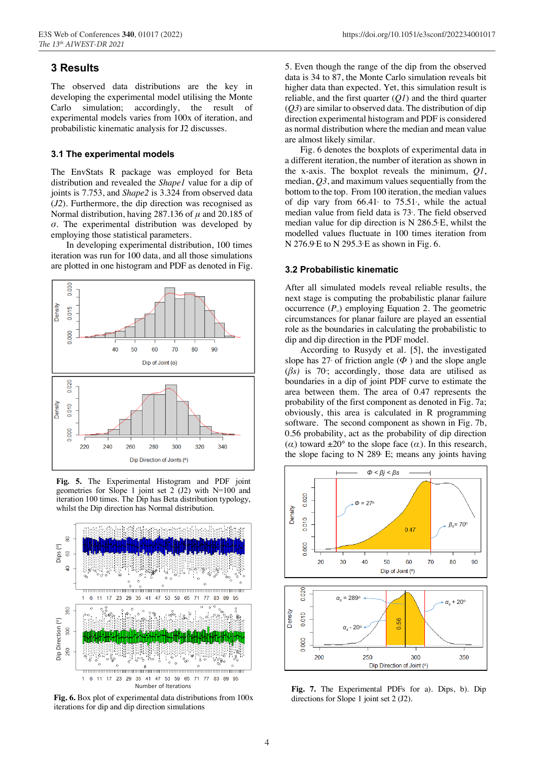# **3 Results**

The observed data distributions are the key in developing the experimental model utilising the Monte Carlo simulation; accordingly, the result of experimental models varies from 100x of iteration, and probabilistic kinematic analysis for J2 discusses.

### **3.1 The experimental models**

The EnvStats R package was employed for Beta distribution and revealed the *Shape1* value for a dip of joints is 7.753, and *Shape2* is 3.324 from observed data (*J2*). Furthermore, the dip direction was recognised as Normal distribution, having 287.136 of *μ* and 20.185 of *σ.* The experimental distribution was developed by employing those statistical parameters.

In developing experimental distribution, 100 times iteration was run for 100 data, and all those simulations are plotted in one histogram and PDF as denoted in Fig.



**Fig. 5.** The Experimental Histogram and PDF joint geometries for Slope 1 joint set 2 (J2) with N=100 and iteration 100 times. The Dip has Beta distribution typology, whilst the Dip direction has Normal distribution.



**Fig. 6.** Box plot of experimental data distributions from 100x

5. Even though the range of the dip from the observed data is 34 to 87, the Monte Carlo simulation reveals bit higher data than expected. Yet, this simulation result is reliable, and the first quarter (*Q1*) and the third quarter (*Q3*) are similar to observed data. The distribution of dip direction experimental histogram and PDF is considered as normal distribution where the median and mean value are almost likely similar.

Fig. 6 denotes the boxplots of experimental data in a different iteration, the number of iteration as shown in the x-axis. The boxplot reveals the minimum, *Q1*, median, *Q3*, and maximum values sequentially from the bottom to the top. From 100 iteration, the median values of dip vary from  $66.41$  to  $75.51$ , while the actual median value from field data is 73°. The field observed median value for dip direction is  $N$  286.5 $E$ , whilst the modelled values fluctuate in 100 times iteration from  $N$  276.9 $E$  to  $N$  295.3 $E$  as shown in Fig. 6.

#### **3.2 Probabilistic kinematic**

After all simulated models reveal reliable results, the next stage is computing the probabilistic planar failure occurrence  $(P_{\varphi})$  employing Equation 2. The geometric circumstances for planar failure are played an essential role as the boundaries in calculating the probabilistic to dip and dip direction in the PDF model.

According to Rusydy et al. [5], the investigated slope has  $27<sup>\circ</sup>$  of friction angle ( $\Phi$ ) and the slope angle  $(\beta s)$  is 70 ; accordingly, those data are utilised as boundaries in a dip of joint PDF curve to estimate the area between them. The area of 0.47 represents the probability of the first component as denoted in Fig. 7a; obviously, this area is calculated in R programming software. The second component as shown in Fig. 7b, 0.56 probability, act as the probability of dip direction  $(\alpha)$  toward  $\pm 20^{\circ}$  to the slope face  $(\alpha)$ . In this research, the slope facing to  $N$  289 $\epsilon$  E; means any joints having





**Fig. 7.** The Experimental PDFs for a). Dips, b). Dip directions for Slope 1 joint set 2 (J2).